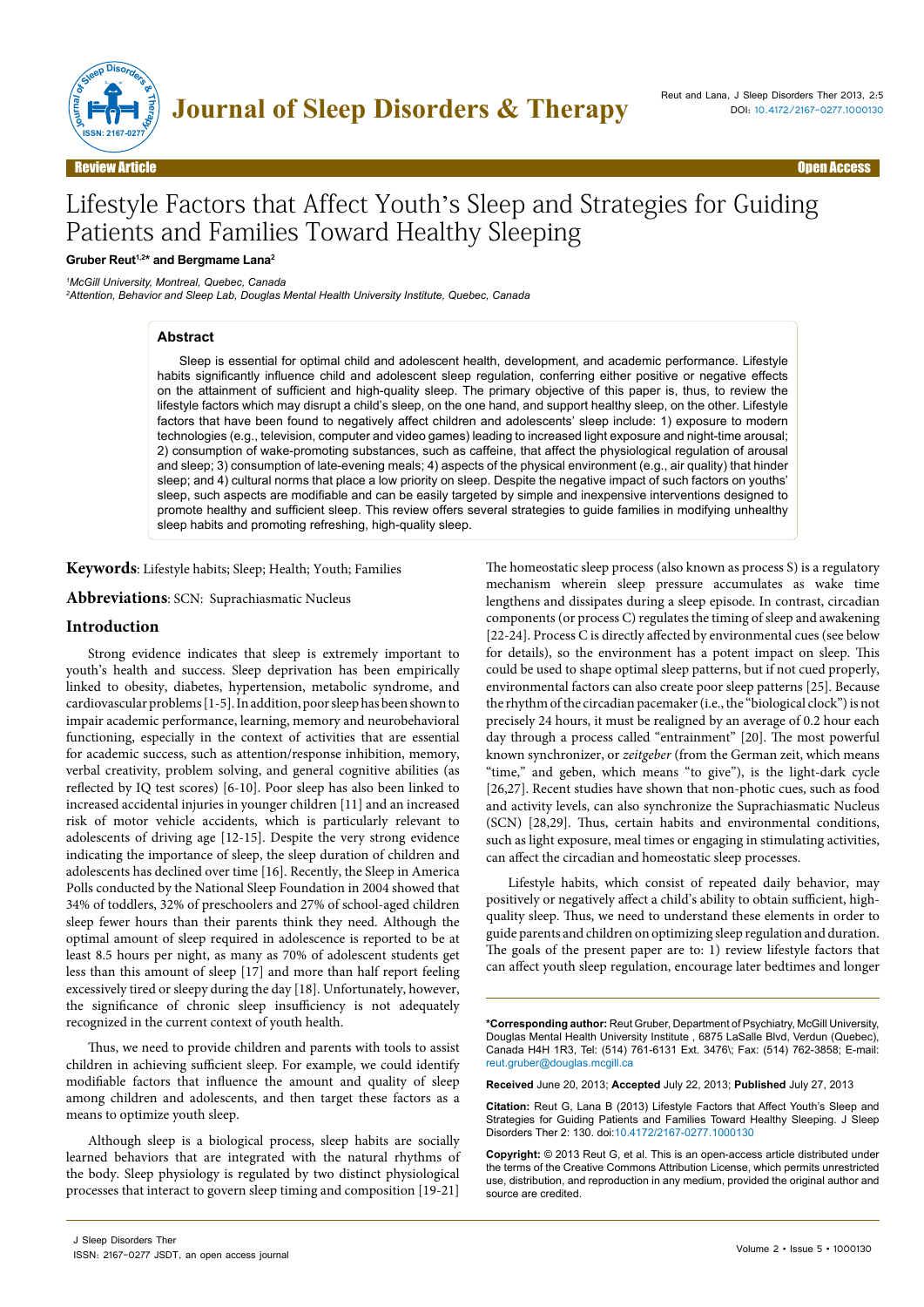

# Lifestyle Factors that Affect Youth's Sleep and Strategies for Guiding Patients and Families Toward Healthy Sleeping

#### **Gruber Reut1,2\* and Bergmame Lana2**

*1 McGill University, Montreal, Quebec, Canada*

*2 Attention, Behavior and Sleep Lab, Douglas Mental Health University Institute, Quebec, Canada*

#### **Abstract**

Sleep is essential for optimal child and adolescent health, development, and academic performance. Lifestyle habits significantly influence child and adolescent sleep regulation, conferring either positive or negative effects on the attainment of sufficient and high-quality sleep. The primary objective of this paper is, thus, to review the lifestyle factors which may disrupt a child's sleep, on the one hand, and support healthy sleep, on the other. Lifestyle factors that have been found to negatively affect children and adolescents' sleep include: 1) exposure to modern technologies (e.g., television, computer and video games) leading to increased light exposure and night-time arousal; 2) consumption of wake-promoting substances, such as caffeine, that affect the physiological regulation of arousal and sleep; 3) consumption of late-evening meals; 4) aspects of the physical environment (e.g., air quality) that hinder sleep; and 4) cultural norms that place a low priority on sleep. Despite the negative impact of such factors on youths' sleep, such aspects are modifiable and can be easily targeted by simple and inexpensive interventions designed to promote healthy and sufficient sleep. This review offers several strategies to guide families in modifying unhealthy sleep habits and promoting refreshing, high-quality sleep.

**Keywords**: Lifestyle habits; Sleep; Health; Youth; Families

**Abbreviations**: SCN: Suprachiasmatic Nucleus

#### **Introduction**

Strong evidence indicates that sleep is extremely important to youth's health and success. Sleep deprivation has been empirically linked to obesity, diabetes, hypertension, metabolic syndrome, and cardiovascular problems [1-5]. In addition, poor sleep has been shown to impair academic performance, learning, memory and neurobehavioral functioning, especially in the context of activities that are essential for academic success, such as attention/response inhibition, memory, verbal creativity, problem solving, and general cognitive abilities (as reflected by IQ test scores) [6-10]. Poor sleep has also been linked to increased accidental injuries in younger children [11] and an increased risk of motor vehicle accidents, which is particularly relevant to adolescents of driving age [12-15]. Despite the very strong evidence indicating the importance of sleep, the sleep duration of children and adolescents has declined over time [16]. Recently, the Sleep in America Polls conducted by the National Sleep Foundation in 2004 showed that 34% of toddlers, 32% of preschoolers and 27% of school-aged children sleep fewer hours than their parents think they need. Although the optimal amount of sleep required in adolescence is reported to be at least 8.5 hours per night, as many as 70% of adolescent students get less than this amount of sleep [17] and more than half report feeling excessively tired or sleepy during the day [18]. Unfortunately, however, the significance of chronic sleep insufficiency is not adequately recognized in the current context of youth health.

Thus, we need to provide children and parents with tools to assist children in achieving sufficient sleep. For example, we could identify modifiable factors that influence the amount and quality of sleep among children and adolescents, and then target these factors as a means to optimize youth sleep.

Although sleep is a biological process, sleep habits are socially learned behaviors that are integrated with the natural rhythms of the body. Sleep physiology is regulated by two distinct physiological processes that interact to govern sleep timing and composition [19-21]

The homeostatic sleep process (also known as process S) is a regulatory mechanism wherein sleep pressure accumulates as wake time lengthens and dissipates during a sleep episode. In contrast, circadian components (or process C) regulates the timing of sleep and awakening [22-24]. Process C is directly affected by environmental cues (see below for details), so the environment has a potent impact on sleep. This could be used to shape optimal sleep patterns, but if not cued properly, environmental factors can also create poor sleep patterns [25]. Because the rhythm of the circadian pacemaker (i.e., the "biological clock") is not precisely 24 hours, it must be realigned by an average of 0.2 hour each day through a process called "entrainment" [20]. The most powerful known synchronizer, or *zeitgeber* (from the German zeit, which means "time," and geben, which means "to give"), is the light-dark cycle [26,27]. Recent studies have shown that non-photic cues, such as food and activity levels, can also synchronize the Suprachiasmatic Nucleus (SCN) [28,29]. Thus, certain habits and environmental conditions, such as light exposure, meal times or engaging in stimulating activities, can affect the circadian and homeostatic sleep processes.

Lifestyle habits, which consist of repeated daily behavior, may positively or negatively affect a child's ability to obtain sufficient, highquality sleep. Thus, we need to understand these elements in order to guide parents and children on optimizing sleep regulation and duration. The goals of the present paper are to: 1) review lifestyle factors that can affect youth sleep regulation, encourage later bedtimes and longer

**\*Corresponding author:** Reut Gruber, Department of Psychiatry, McGill University, Douglas Mental Health University Institute , 6875 LaSalle Blvd, Verdun (Quebec), Canada H4H 1R3, Tel: (514) 761-6131 Ext. 3476\; Fax: (514) 762-3858; E-mail: reut.gruber@douglas.mcgill.ca

**Received** June 20, 2013; **Accepted** July 22, 2013; **Published** July 27, 2013

**Citation:** Reut G, Lana B (2013) Lifestyle Factors that Affect Youth's Sleep and Strategies for Guiding Patients and Families Toward Healthy Sleeping. J Sleep Disorders Ther 2: 130. doi:10.4172/2167-0277.1000130

**Copyright:** © 2013 Reut G, et al. This is an open-access article distributed under the terms of the Creative Commons Attribution License, which permits unrestricted use, distribution, and reproduction in any medium, provided the original author and source are credited.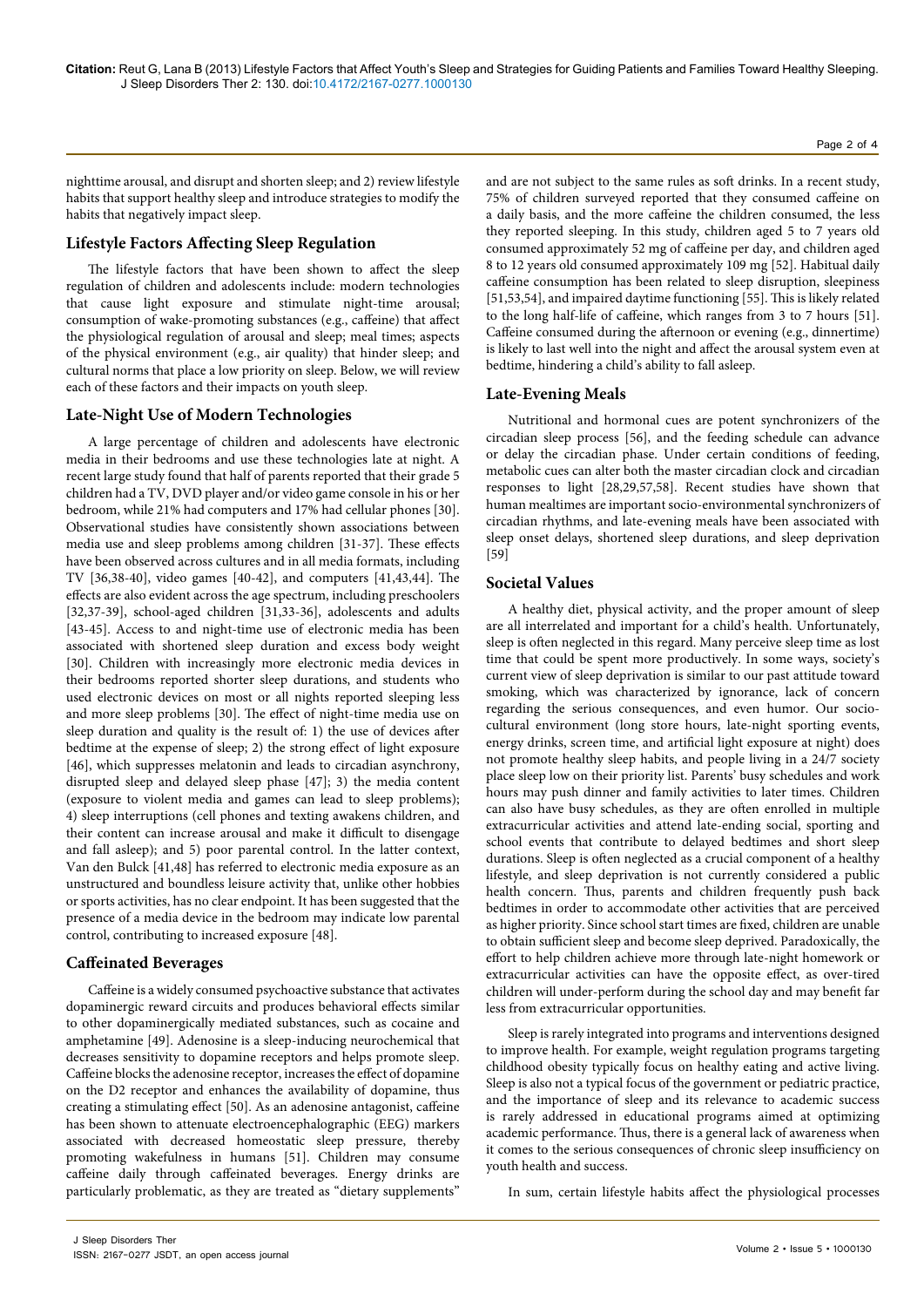Page 2 of 4

nighttime arousal, and disrupt and shorten sleep; and 2) review lifestyle habits that support healthy sleep and introduce strategies to modify the habits that negatively impact sleep.

# **Lifestyle Factors Affecting Sleep Regulation**

The lifestyle factors that have been shown to affect the sleep regulation of children and adolescents include: modern technologies that cause light exposure and stimulate night-time arousal; consumption of wake-promoting substances (e.g., caffeine) that affect the physiological regulation of arousal and sleep; meal times; aspects of the physical environment (e.g., air quality) that hinder sleep; and cultural norms that place a low priority on sleep. Below, we will review each of these factors and their impacts on youth sleep.

# **Late-Night Use of Modern Technologies**

A large percentage of children and adolescents have electronic media in their bedrooms and use these technologies late at night. A recent large study found that half of parents reported that their grade 5 children had a TV, DVD player and/or video game console in his or her bedroom, while 21% had computers and 17% had cellular phones [30]. Observational studies have consistently shown associations between media use and sleep problems among children [31-37]. These effects have been observed across cultures and in all media formats, including TV [36,38-40], video games [40-42], and computers [41,43,44]. The effects are also evident across the age spectrum, including preschoolers [32,37-39], school-aged children [31,33-36], adolescents and adults [43-45]. Access to and night-time use of electronic media has been associated with shortened sleep duration and excess body weight [30]. Children with increasingly more electronic media devices in their bedrooms reported shorter sleep durations, and students who used electronic devices on most or all nights reported sleeping less and more sleep problems [30]. The effect of night-time media use on sleep duration and quality is the result of: 1) the use of devices after bedtime at the expense of sleep; 2) the strong effect of light exposure [46], which suppresses melatonin and leads to circadian asynchrony, disrupted sleep and delayed sleep phase [47]; 3) the media content (exposure to violent media and games can lead to sleep problems); 4) sleep interruptions (cell phones and texting awakens children, and their content can increase arousal and make it difficult to disengage and fall asleep); and 5) poor parental control. In the latter context, Van den Bulck [41,48] has referred to electronic media exposure as an unstructured and boundless leisure activity that, unlike other hobbies or sports activities, has no clear endpoint. It has been suggested that the presence of a media device in the bedroom may indicate low parental control, contributing to increased exposure [48].

# **Caffeinated Beverages**

Caffeine is a widely consumed psychoactive substance that activates dopaminergic reward circuits and produces behavioral effects similar to other dopaminergically mediated substances, such as cocaine and amphetamine [49]. Adenosine is a sleep-inducing neurochemical that decreases sensitivity to dopamine receptors and helps promote sleep. Caffeine blocks the adenosine receptor, increases the effect of dopamine on the D2 receptor and enhances the availability of dopamine, thus creating a stimulating effect [50]. As an adenosine antagonist, caffeine has been shown to attenuate electroencephalographic (EEG) markers associated with decreased homeostatic sleep pressure, thereby promoting wakefulness in humans [51]. Children may consume caffeine daily through caffeinated beverages. Energy drinks are particularly problematic, as they are treated as "dietary supplements"

and are not subject to the same rules as soft drinks. In a recent study, 75% of children surveyed reported that they consumed caffeine on a daily basis, and the more caffeine the children consumed, the less they reported sleeping. In this study, children aged 5 to 7 years old consumed approximately 52 mg of caffeine per day, and children aged 8 to 12 years old consumed approximately 109 mg [52]. Habitual daily caffeine consumption has been related to sleep disruption, sleepiness [51,53,54], and impaired daytime functioning [55]. This is likely related to the long half-life of caffeine, which ranges from 3 to 7 hours [51]. Caffeine consumed during the afternoon or evening (e.g., dinnertime) is likely to last well into the night and affect the arousal system even at bedtime, hindering a child's ability to fall asleep.

# **Late-Evening Meals**

Nutritional and hormonal cues are potent synchronizers of the circadian sleep process [56], and the feeding schedule can advance or delay the circadian phase. Under certain conditions of feeding, metabolic cues can alter both the master circadian clock and circadian responses to light [28,29,57,58]. Recent studies have shown that human mealtimes are important socio-environmental synchronizers of circadian rhythms, and late-evening meals have been associated with sleep onset delays, shortened sleep durations, and sleep deprivation [59]

# **Societal Values**

A healthy diet, physical activity, and the proper amount of sleep are all interrelated and important for a child's health. Unfortunately, sleep is often neglected in this regard. Many perceive sleep time as lost time that could be spent more productively. In some ways, society's current view of sleep deprivation is similar to our past attitude toward smoking, which was characterized by ignorance, lack of concern regarding the serious consequences, and even humor. Our sociocultural environment (long store hours, late-night sporting events, energy drinks, screen time, and artificial light exposure at night) does not promote healthy sleep habits, and people living in a 24/7 society place sleep low on their priority list. Parents' busy schedules and work hours may push dinner and family activities to later times. Children can also have busy schedules, as they are often enrolled in multiple extracurricular activities and attend late-ending social, sporting and school events that contribute to delayed bedtimes and short sleep durations. Sleep is often neglected as a crucial component of a healthy lifestyle, and sleep deprivation is not currently considered a public health concern. Thus, parents and children frequently push back bedtimes in order to accommodate other activities that are perceived as higher priority. Since school start times are fixed, children are unable to obtain sufficient sleep and become sleep deprived. Paradoxically, the effort to help children achieve more through late-night homework or extracurricular activities can have the opposite effect, as over-tired children will under-perform during the school day and may benefit far less from extracurricular opportunities.

Sleep is rarely integrated into programs and interventions designed to improve health. For example, weight regulation programs targeting childhood obesity typically focus on healthy eating and active living. Sleep is also not a typical focus of the government or pediatric practice, and the importance of sleep and its relevance to academic success is rarely addressed in educational programs aimed at optimizing academic performance. Thus, there is a general lack of awareness when it comes to the serious consequences of chronic sleep insufficiency on youth health and success.

In sum, certain lifestyle habits affect the physiological processes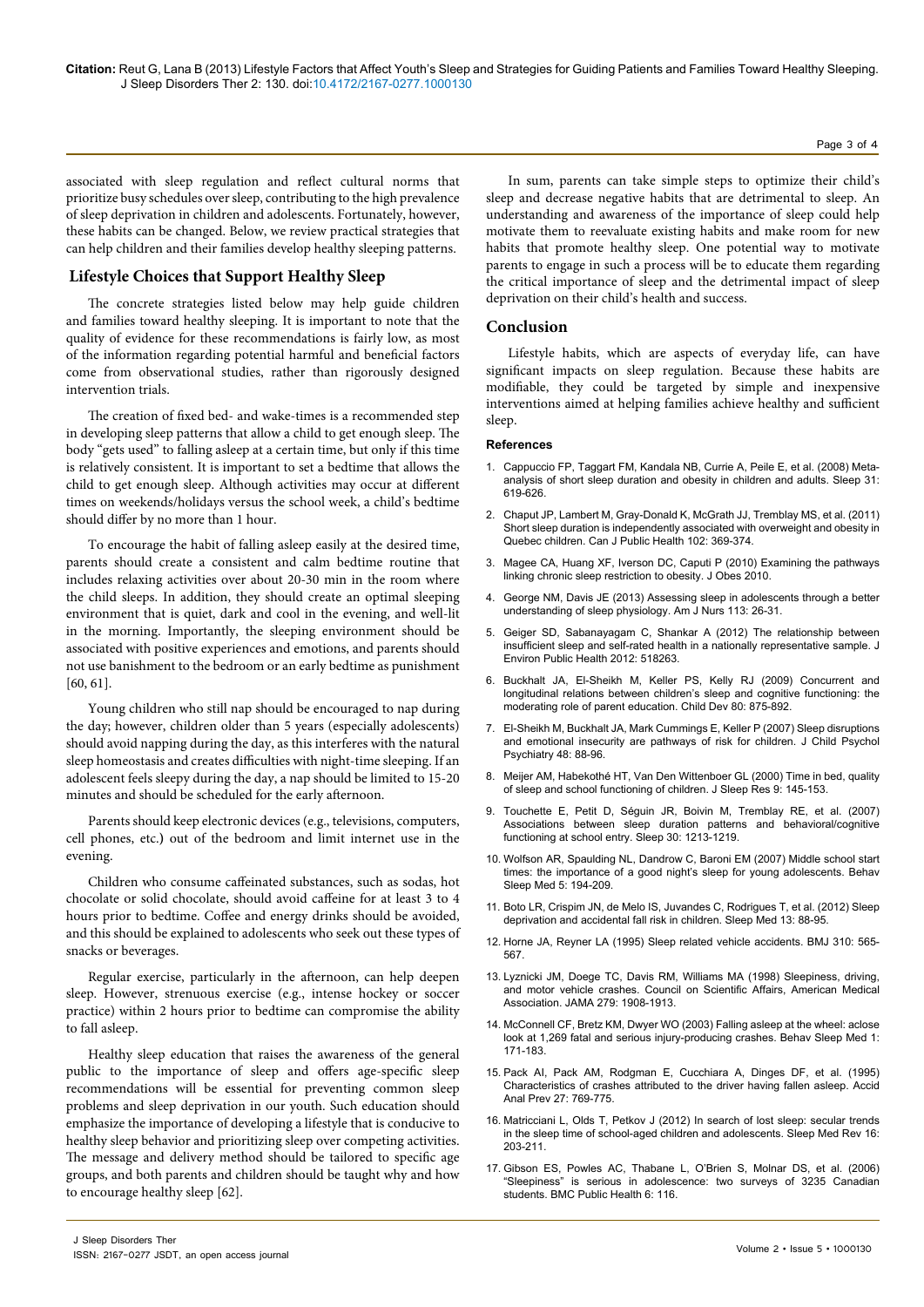associated with sleep regulation and reflect cultural norms that prioritize busy schedules over sleep, contributing to the high prevalence of sleep deprivation in children and adolescents. Fortunately, however, these habits can be changed. Below, we review practical strategies that can help children and their families develop healthy sleeping patterns.

### **Lifestyle Choices that Support Healthy Sleep**

The concrete strategies listed below may help guide children and families toward healthy sleeping. It is important to note that the quality of evidence for these recommendations is fairly low, as most of the information regarding potential harmful and beneficial factors come from observational studies, rather than rigorously designed intervention trials.

The creation of fixed bed- and wake-times is a recommended step in developing sleep patterns that allow a child to get enough sleep. The body "gets used" to falling asleep at a certain time, but only if this time is relatively consistent. It is important to set a bedtime that allows the child to get enough sleep. Although activities may occur at different times on weekends/holidays versus the school week, a child's bedtime should differ by no more than 1 hour.

To encourage the habit of falling asleep easily at the desired time, parents should create a consistent and calm bedtime routine that includes relaxing activities over about 20-30 min in the room where the child sleeps. In addition, they should create an optimal sleeping environment that is quiet, dark and cool in the evening, and well-lit in the morning. Importantly, the sleeping environment should be associated with positive experiences and emotions, and parents should not use banishment to the bedroom or an early bedtime as punishment [60, 61].

Young children who still nap should be encouraged to nap during the day; however, children older than 5 years (especially adolescents) should avoid napping during the day, as this interferes with the natural sleep homeostasis and creates difficulties with night-time sleeping. If an adolescent feels sleepy during the day, a nap should be limited to 15-20 minutes and should be scheduled for the early afternoon.

Parents should keep electronic devices (e.g., televisions, computers, cell phones, etc.**)** out of the bedroom and limit internet use in the evening.

Children who consume caffeinated substances, such as sodas, hot chocolate or solid chocolate, should avoid caffeine for at least 3 to 4 hours prior to bedtime. Coffee and energy drinks should be avoided, and this should be explained to adolescents who seek out these types of snacks or beverages.

Regular exercise, particularly in the afternoon, can help deepen sleep. However, strenuous exercise (e.g., intense hockey or soccer practice) within 2 hours prior to bedtime can compromise the ability to fall asleep.

Healthy sleep education that raises the awareness of the general public to the importance of sleep and offers age-specific sleep recommendations will be essential for preventing common sleep problems and sleep deprivation in our youth. Such education should emphasize the importance of developing a lifestyle that is conducive to healthy sleep behavior and prioritizing sleep over competing activities. The message and delivery method should be tailored to specific age groups, and both parents and children should be taught why and how to encourage healthy sleep [62].

In sum, parents can take simple steps to optimize their child's sleep and decrease negative habits that are detrimental to sleep. An understanding and awareness of the importance of sleep could help motivate them to reevaluate existing habits and make room for new habits that promote healthy sleep. One potential way to motivate parents to engage in such a process will be to educate them regarding the critical importance of sleep and the detrimental impact of sleep deprivation on their child's health and success.

#### **Conclusion**

Lifestyle habits, which are aspects of everyday life, can have significant impacts on sleep regulation. Because these habits are modifiable, they could be targeted by simple and inexpensive interventions aimed at helping families achieve healthy and sufficient sleep.

#### **References**

- 1. [Cappuccio FP, Taggart FM, Kandala NB, Currie A, Peile E, et al. \(2008\) Meta](http://www.ncbi.nlm.nih.gov/pubmed/18517032)[analysis of short sleep duration and obesity in children and adults. Sleep 31:](http://www.ncbi.nlm.nih.gov/pubmed/18517032)  [619-626.](http://www.ncbi.nlm.nih.gov/pubmed/18517032)
- 2. [Chaput JP, Lambert M, Gray-Donald K, McGrath JJ, Tremblay MS, et al. \(2011\)](http://www.ncbi.nlm.nih.gov/pubmed/22032104)  [Short sleep duration is independently associated with overweight and obesity in](http://www.ncbi.nlm.nih.gov/pubmed/22032104)  [Quebec children. Can J Public Health 102: 369-374.](http://www.ncbi.nlm.nih.gov/pubmed/22032104)
- 3. [Magee CA, Huang XF, Iverson DC, Caputi P \(2010\) Examining the pathways](http://www.ncbi.nlm.nih.gov/pubmed/20798899)  [linking chronic sleep restriction to obesity. J Obes 2010.](http://www.ncbi.nlm.nih.gov/pubmed/20798899)
- 4. [George NM, Davis JE \(2013\) Assessing sleep in adolescents through a better](http://www.ncbi.nlm.nih.gov/pubmed/23669206)  [understanding of sleep physiology. Am J Nurs 113: 26-31.](http://www.ncbi.nlm.nih.gov/pubmed/23669206)
- 5. [Geiger SD, Sabanayagam C, Shankar A \(2012\) The relationship between](http://www.ncbi.nlm.nih.gov/pubmed/22666278)  [insufficient sleep and self-rated health in a nationally representative sample. J](http://www.ncbi.nlm.nih.gov/pubmed/22666278)  [Environ Public Health 2012: 518263.](http://www.ncbi.nlm.nih.gov/pubmed/22666278)
- 6. [Buckhalt JA, El-Sheikh M, Keller PS, Kelly RJ \(2009\) Concurrent and](http://www.ncbi.nlm.nih.gov/pubmed/19489909)  [longitudinal relations between children's sleep and cognitive functioning: the](http://www.ncbi.nlm.nih.gov/pubmed/19489909)  [moderating role of parent education. Child Dev 80: 875-892.](http://www.ncbi.nlm.nih.gov/pubmed/19489909)
- 7. [El-Sheikh M, Buckhalt JA, Mark Cummings E, Keller P \(2007\) Sleep disruptions](http://www.ncbi.nlm.nih.gov/pubmed/17244274)  [and emotional insecurity are pathways of risk for children. J Child Psychol](http://www.ncbi.nlm.nih.gov/pubmed/17244274)  [Psychiatry 48: 88-96.](http://www.ncbi.nlm.nih.gov/pubmed/17244274)
- 8. [Meijer AM, Habekothé HT, Van Den Wittenboer GL \(2000\) Time in bed, quality](http://www.ncbi.nlm.nih.gov/pubmed/10849241)  [of sleep and school functioning of children. J Sleep Res 9: 145-153.](http://www.ncbi.nlm.nih.gov/pubmed/10849241)
- 9. [Touchette E, Petit D, Séguin JR, Boivin M, Tremblay RE, et al. \(2007\)](http://www.ncbi.nlm.nih.gov/pubmed/17910393)  [Associations between sleep duration patterns and behavioral/cognitive](http://www.ncbi.nlm.nih.gov/pubmed/17910393)  [functioning at school entry. Sleep 30: 1213-1219.](http://www.ncbi.nlm.nih.gov/pubmed/17910393)
- 10. [Wolfson AR, Spaulding NL, Dandrow C, Baroni EM \(2007\) Middle school start](http://www.ncbi.nlm.nih.gov/pubmed/17680731)  [times: the importance of a good night's sleep for young adolescents. Behav](http://www.ncbi.nlm.nih.gov/pubmed/17680731)  [Sleep Med 5: 194-209.](http://www.ncbi.nlm.nih.gov/pubmed/17680731)
- 11. [Boto LR, Crispim JN, de Melo IS, Juvandes C, Rodrigues T, et al. \(2012\) Sleep](http://www.ncbi.nlm.nih.gov/pubmed/22056544)  [deprivation and accidental fall risk in children. Sleep Med 13: 88-95.](http://www.ncbi.nlm.nih.gov/pubmed/22056544)
- 12. [Horne JA, Reyner LA \(1995\) Sleep related vehicle accidents. BMJ 310: 565-](http://www.ncbi.nlm.nih.gov/pubmed/7888930) [567.](http://www.ncbi.nlm.nih.gov/pubmed/7888930)
- 13. [Lyznicki JM, Doege TC, Davis RM, Williams MA \(1998\) Sleepiness, driving,](http://www.ncbi.nlm.nih.gov/pubmed/9634264)  [and motor vehicle crashes. Council on Scientific Affairs, American Medical](http://www.ncbi.nlm.nih.gov/pubmed/9634264)  [Association. JAMA 279: 1908-1913.](http://www.ncbi.nlm.nih.gov/pubmed/9634264)
- 14. [McConnell CF, Bretz KM, Dwyer WO \(2003\) Falling asleep at the wheel: aclose](http://www.ncbi.nlm.nih.gov/pubmed/15600220)  [look at 1,269 fatal and serious injury-producing crashes. Behav Sleep Med 1:](http://www.ncbi.nlm.nih.gov/pubmed/15600220)  [171-183.](http://www.ncbi.nlm.nih.gov/pubmed/15600220)
- 15. [Pack AI, Pack AM, Rodgman E, Cucchiara A, Dinges DF, et al. \(1995\)](http://www.ncbi.nlm.nih.gov/pubmed/8749280)  [Characteristics of crashes attributed to the driver having fallen asleep. Accid](http://www.ncbi.nlm.nih.gov/pubmed/8749280)  [Anal Prev 27: 769-775.](http://www.ncbi.nlm.nih.gov/pubmed/8749280)
- 16. [Matricciani L, Olds T, Petkov J \(2012\) In search of lost sleep: secular trends](http://www.ncbi.nlm.nih.gov/pubmed/21612957)  [in the sleep time of school-aged children and adolescents. Sleep Med Rev 16:](http://www.ncbi.nlm.nih.gov/pubmed/21612957)  [203-211.](http://www.ncbi.nlm.nih.gov/pubmed/21612957)
- 17. [Gibson ES, Powles AC, Thabane L, O'Brien S, Molnar DS, et al. \(2006\)](http://www.ncbi.nlm.nih.gov/pubmed/16670019)  ["Sleepiness" is serious in adolescence: two surveys of 3235 Canadian](http://www.ncbi.nlm.nih.gov/pubmed/16670019)  [students. BMC Public Health 6: 116.](http://www.ncbi.nlm.nih.gov/pubmed/16670019)